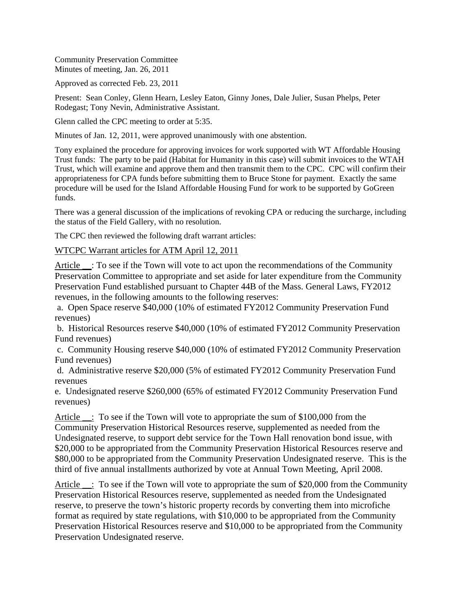Community Preservation Committee Minutes of meeting, Jan. 26, 2011

Approved as corrected Feb. 23, 2011

Present: Sean Conley, Glenn Hearn, Lesley Eaton, Ginny Jones, Dale Julier, Susan Phelps, Peter Rodegast; Tony Nevin, Administrative Assistant.

Glenn called the CPC meeting to order at 5:35.

Minutes of Jan. 12, 2011, were approved unanimously with one abstention.

Tony explained the procedure for approving invoices for work supported with WT Affordable Housing Trust funds: The party to be paid (Habitat for Humanity in this case) will submit invoices to the WTAH Trust, which will examine and approve them and then transmit them to the CPC. CPC will confirm their appropriateness for CPA funds before submitting them to Bruce Stone for payment. Exactly the same procedure will be used for the Island Affordable Housing Fund for work to be supported by GoGreen funds.

There was a general discussion of the implications of revoking CPA or reducing the surcharge, including the status of the Field Gallery, with no resolution.

The CPC then reviewed the following draft warrant articles:

WTCPC Warrant articles for ATM April 12, 2011

Article \_: To see if the Town will vote to act upon the recommendations of the Community Preservation Committee to appropriate and set aside for later expenditure from the Community Preservation Fund established pursuant to Chapter 44B of the Mass. General Laws, FY2012 revenues, in the following amounts to the following reserves:

 a. Open Space reserve \$40,000 (10% of estimated FY2012 Community Preservation Fund revenues)

 b. Historical Resources reserve \$40,000 (10% of estimated FY2012 Community Preservation Fund revenues)

 c. Community Housing reserve \$40,000 (10% of estimated FY2012 Community Preservation Fund revenues)

 d. Administrative reserve \$20,000 (5% of estimated FY2012 Community Preservation Fund revenues

e. Undesignated reserve \$260,000 (65% of estimated FY2012 Community Preservation Fund revenues)

Article \_\_: To see if the Town will vote to appropriate the sum of \$100,000 from the Community Preservation Historical Resources reserve, supplemented as needed from the Undesignated reserve, to support debt service for the Town Hall renovation bond issue, with \$20,000 to be appropriated from the Community Preservation Historical Resources reserve and \$80,000 to be appropriated from the Community Preservation Undesignated reserve. This is the third of five annual installments authorized by vote at Annual Town Meeting, April 2008.

Article  $\therefore$  To see if the Town will vote to appropriate the sum of \$20,000 from the Community Preservation Historical Resources reserve, supplemented as needed from the Undesignated reserve, to preserve the town's historic property records by converting them into microfiche format as required by state regulations, with \$10,000 to be appropriated from the Community Preservation Historical Resources reserve and \$10,000 to be appropriated from the Community Preservation Undesignated reserve.